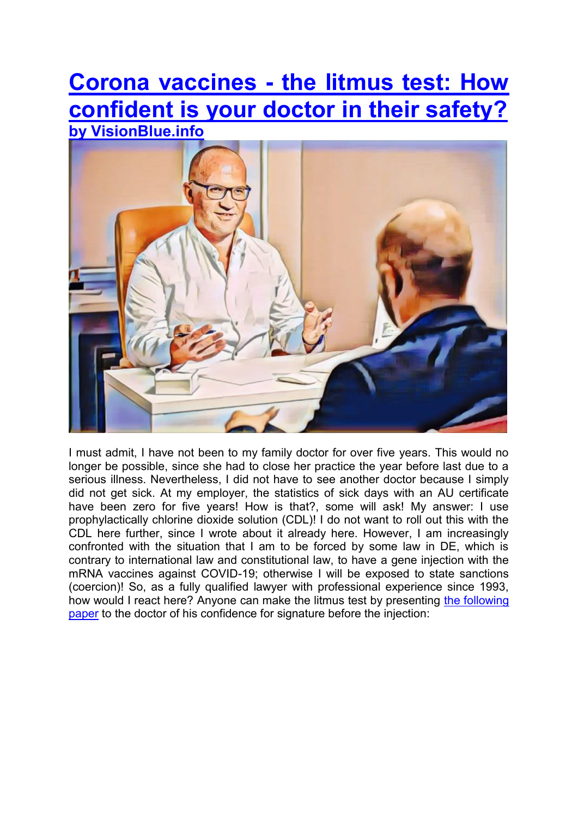# **[Corona vaccines - the litmus test: How](https://visionblue.info/?p=6449)  [confident is your doctor in their safety?](https://visionblue.info/?p=6449) [by VisionBlue.info](http://www.visionblue.info/)**



I must admit, I have not been to my family doctor for over five years. This would no longer be possible, since she had to close her practice the year before last due to a serious illness. Nevertheless, I did not have to see another doctor because I simply did not get sick. At my employer, the statistics of sick days with an AU certificate have been zero for five years! How is that?, some will ask! My answer: I use prophylactically chlorine dioxide solution (CDL)! I do not want to roll out this with the CDL here further, since I wrote about it already here. However, I am increasingly confronted with the situation that I am to be forced by some law in DE, which is contrary to international law and constitutional law, to have a gene injection with the mRNA vaccines against COVID-19; otherwise I will be exposed to state sanctions (coercion)! So, as a fully qualified lawyer with professional experience since 1993, how would I react here? Anyone can make the litmus test by presenting [the following](http://visionblue.info/wp-content/uploads/2022/01/Declaration-of-assumption-of-liability.pdf)  [paper](http://visionblue.info/wp-content/uploads/2022/01/Declaration-of-assumption-of-liability.pdf) to the doctor of his confidence for signature before the injection: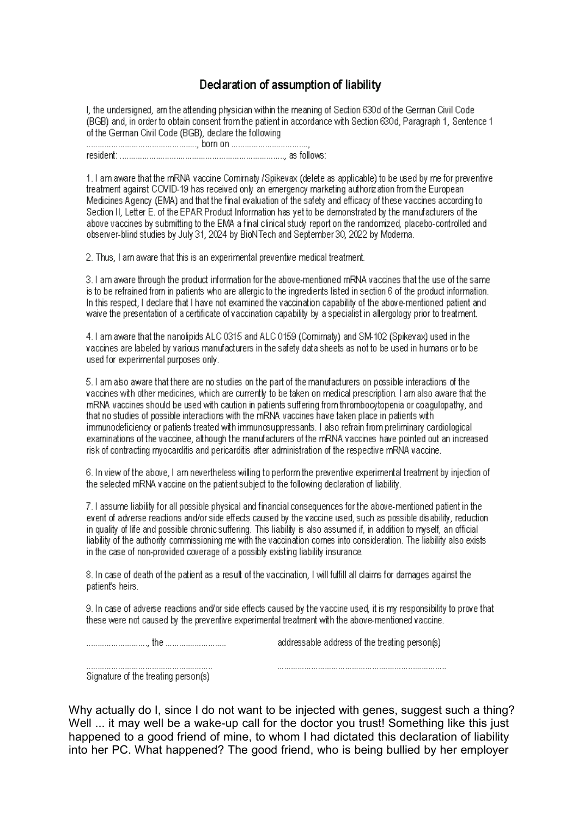# Declaration of assumption of liability

I, the undersigned, am the attending physician within the meaning of Section 630d of the German Civil Code (BGB) and, in order to obtain consent from the patient in accordance with Section 630d, Paragraph 1, Sentence 1 of the German Civil Code (BGB), declare the following 

1. Larn aware that the mRNA vaccine Comirnaty /Spikeyax (delete as applicable) to be used by me for preventive treatment against COVID-19 has received only an emergency marketing authorization from the European Medicines Agency (EMA) and that the final evaluation of the safety and efficacy of these vaccines according to Section II, Letter E. of the EPAR Product Information has yet to be demonstrated by the manufacturers of the above vaccines by submitting to the EMA a final clinical study report on the randomized, placebo-controlled and observer-blind studies by July 31, 2024 by BioNTech and September 30, 2022 by Moderna.

2. Thus, I am aware that this is an experimental preventive medical treatment.

3. I am aware through the product information for the above-mentioned mRNA vaccines that the use of the same is to be refrained from in patients who are allergic to the ingredients listed in section 6 of the product information. In this respect. I declare that I have not examined the vaccination capability of the above-mentioned patient and waive the presentation of a certificate of vaccination capability by a specialist in allergology prior to treatment.

4. I am aware that the nanolipids ALC 0315 and ALC 0159 (Comirnaty) and SM-102 (Spikevax) used in the vaccines are labeled by various manufacturers in the safety data sheets as not to be used in humans or to be used for experimental purposes only.

5. I am also aware that there are no studies on the part of the manufacturers on possible interactions of the vaccines with other medicines, which are currently to be taken on medical prescription. I am also aware that the mRNA vaccines should be used with caution in patients suffering from thrombocytopenia or coagulopathy, and that no studies of possible interactions with the mRNA vaccines have taken place in patients with immunodeficiency or patients treated with immunosuppressants. I also refrain from preliminary cardiological examinations of the vaccinee, although the manufacturers of the mRNA vaccines have pointed out an increased risk of contracting myocarditis and pericarditis after administration of the respective mRNA vaccine.

6. In view of the above, I am nevertheless willing to perform the preventive experimental treatment by injection of the selected mRNA vaccine on the patient subject to the following declaration of liability.

7. I assume liability for all possible physical and financial consequences for the above-mentioned patient in the event of adverse reactions and/or side effects caused by the vaccine used, such as possible disability, reduction in quality of life and possible chronic suffering. This liability is also assumed if, in addition to myself, an official liability of the authority commissioning me with the vaccination comes into consideration. The liability also exists in the case of non-provided coverage of a possibly existing liability insurance.

8. In case of death of the patient as a result of the vaccination, I will fulfill all claims for damages against the patient's heirs.

9. In case of adverse reactions and/or side effects caused by the vaccine used, it is my responsibility to prove that these were not caused by the preventive experimental treatment with the above-mentioned vaccine.

Signature of the treating person(s)

Why actually do I, since I do not want to be injected with genes, suggest such a thing? Well ... it may well be a wake-up call for the doctor you trust! Something like this just happened to a good friend of mine, to whom I had dictated this declaration of liability into her PC. What happened? The good friend, who is being bullied by her employer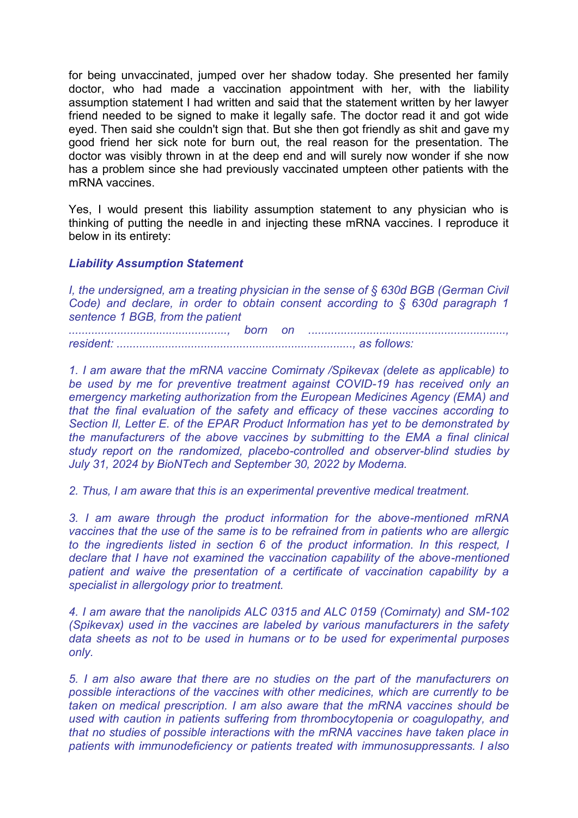for being unvaccinated, jumped over her shadow today. She presented her family doctor, who had made a vaccination appointment with her, with the liability assumption statement I had written and said that the statement written by her lawyer friend needed to be signed to make it legally safe. The doctor read it and got wide eyed. Then said she couldn't sign that. But she then got friendly as shit and gave my good friend her sick note for burn out, the real reason for the presentation. The doctor was visibly thrown in at the deep end and will surely now wonder if she now has a problem since she had previously vaccinated umpteen other patients with the mRNA vaccines.

Yes, I would present this liability assumption statement to any physician who is thinking of putting the needle in and injecting these mRNA vaccines. I reproduce it below in its entirety:

## *Liability Assumption Statement*

*I, the undersigned, am a treating physician in the sense of § 630d BGB (German Civil Code) and declare, in order to obtain consent according to § 630d paragraph 1 sentence 1 BGB, from the patient* 

*................................................., born on ............................................................., resident: ........................................................................., as follows:* 

*1. I am aware that the mRNA vaccine Comirnaty /Spikevax (delete as applicable) to be used by me for preventive treatment against COVID-19 has received only an emergency marketing authorization from the European Medicines Agency (EMA) and that the final evaluation of the safety and efficacy of these vaccines according to Section II, Letter E. of the EPAR Product Information has yet to be demonstrated by the manufacturers of the above vaccines by submitting to the EMA a final clinical study report on the randomized, placebo-controlled and observer-blind studies by July 31, 2024 by BioNTech and September 30, 2022 by Moderna.* 

*2. Thus, I am aware that this is an experimental preventive medical treatment.* 

*3. I am aware through the product information for the above-mentioned mRNA vaccines that the use of the same is to be refrained from in patients who are allergic to the ingredients listed in section 6 of the product information. In this respect, I declare that I have not examined the vaccination capability of the above-mentioned patient and waive the presentation of a certificate of vaccination capability by a specialist in allergology prior to treatment.* 

*4. I am aware that the nanolipids ALC 0315 and ALC 0159 (Comirnaty) and SM-102 (Spikevax) used in the vaccines are labeled by various manufacturers in the safety data sheets as not to be used in humans or to be used for experimental purposes only.* 

*5. I am also aware that there are no studies on the part of the manufacturers on possible interactions of the vaccines with other medicines, which are currently to be taken on medical prescription. I am also aware that the mRNA vaccines should be used with caution in patients suffering from thrombocytopenia or coagulopathy, and that no studies of possible interactions with the mRNA vaccines have taken place in patients with immunodeficiency or patients treated with immunosuppressants. I also*